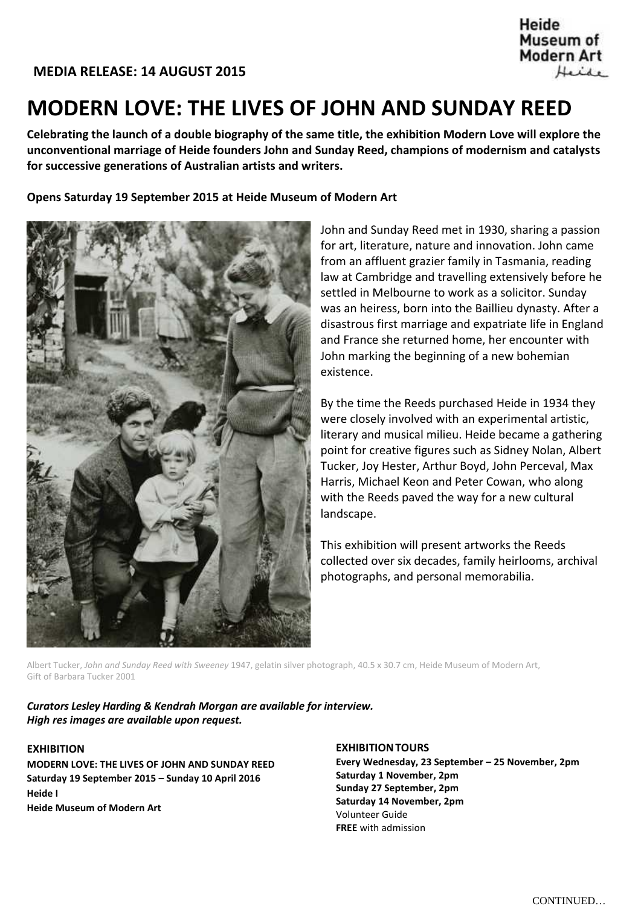Heide Museum of **Modern Art** Heide

# **MODERN LOVE: THE LIVES OF JOHN AND SUNDAY REED**

**Celebrating the launch of a double biography of the same title, the exhibition Modern Love will explore the unconventional marriage of Heide founders John and Sunday Reed, champions of modernism and catalysts for successive generations of Australian artists and writers.**

**Opens Saturday 19 September 2015 at Heide Museum of Modern Art**



John and Sunday Reed met in 1930, sharing a passion for art, literature, nature and innovation. John came from an affluent grazier family in Tasmania, reading law at Cambridge and travelling extensively before he settled in Melbourne to work as a solicitor. Sunday was an heiress, born into the Baillieu dynasty. After a disastrous first marriage and expatriate life in England and France she returned home, her encounter with John marking the beginning of a new bohemian existence.

By the time the Reeds purchased Heide in 1934 they were closely involved with an experimental artistic, literary and musical milieu. Heide became a gathering point for creative figures such as Sidney Nolan, Albert Tucker, Joy Hester, Arthur Boyd, John Perceval, Max Harris, Michael Keon and Peter Cowan, who along with the Reeds paved the way for a new cultural landscape.

This exhibition will present artworks the Reeds collected over six decades, family heirlooms, archival photographs, and personal memorabilia.

Albert Tucker, *John and Sunday Reed with Sweeney* 1947, gelatin silver photograph, 40.5 x 30.7 cm, Heide Museum of Modern Art, Gift of Barbara Tucker 2001

*Curators Lesley Harding & Kendrah Morgan are available for interview. High res images are available upon request.*

# **EXHIBITION**

**MODERN LOVE: THE LIVES OF JOHN AND SUNDAY REED Saturday 19 September 2015 – Sunday 10 April 2016 Heide I Heide Museum of Modern Art**

**EXHIBITIONTOURS Every Wednesday, 23 September – 25 November, 2pm Saturday 1 November, 2pm Sunday 27 September, 2pm Saturday 14 November, 2pm** Volunteer Guide **FREE** with admission